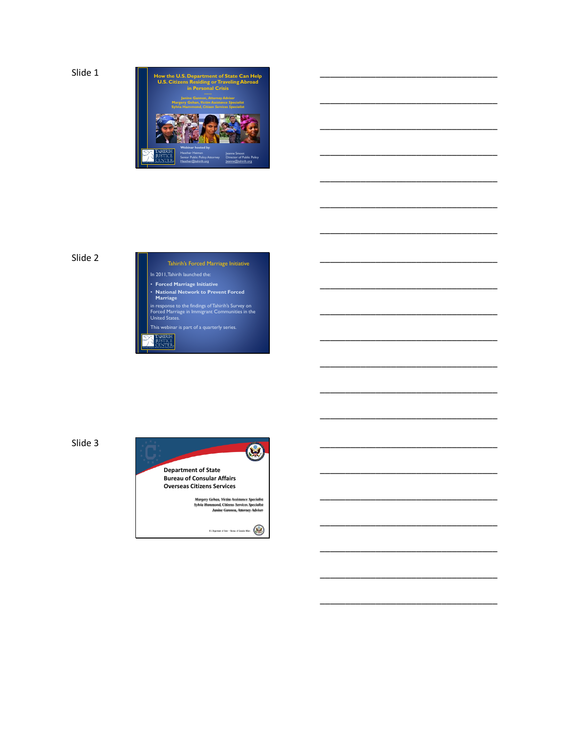

\_\_\_\_\_\_\_\_\_\_\_\_\_\_\_\_\_\_\_\_\_\_\_\_\_\_\_\_\_\_\_\_\_\_\_

\_\_\_\_\_\_\_\_\_\_\_\_\_\_\_\_\_\_\_\_\_\_\_\_\_\_\_\_\_\_\_\_\_\_\_

\_\_\_\_\_\_\_\_\_\_\_\_\_\_\_\_\_\_\_\_\_\_\_\_\_\_\_\_\_\_\_\_\_\_\_

\_\_\_\_\_\_\_\_\_\_\_\_\_\_\_\_\_\_\_\_\_\_\_\_\_\_\_\_\_\_\_\_\_\_\_

\_\_\_\_\_\_\_\_\_\_\_\_\_\_\_\_\_\_\_\_\_\_\_\_\_\_\_\_\_\_\_\_\_\_\_

\_\_\_\_\_\_\_\_\_\_\_\_\_\_\_\_\_\_\_\_\_\_\_\_\_\_\_\_\_\_\_\_\_\_\_

\_\_\_\_\_\_\_\_\_\_\_\_\_\_\_\_\_\_\_\_\_\_\_\_\_\_\_\_\_\_\_\_\_\_\_

\_\_\_\_\_\_\_\_\_\_\_\_\_\_\_\_\_\_\_\_\_\_\_\_\_\_\_\_\_\_\_\_\_\_\_

\_\_\_\_\_\_\_\_\_\_\_\_\_\_\_\_\_\_\_\_\_\_\_\_\_\_\_\_\_\_\_\_\_\_\_

\_\_\_\_\_\_\_\_\_\_\_\_\_\_\_\_\_\_\_\_\_\_\_\_\_\_\_\_\_\_\_\_\_\_\_

\_\_\_\_\_\_\_\_\_\_\_\_\_\_\_\_\_\_\_\_\_\_\_\_\_\_\_\_\_\_\_\_\_\_\_

\_\_\_\_\_\_\_\_\_\_\_\_\_\_\_\_\_\_\_\_\_\_\_\_\_\_\_\_\_\_\_\_\_\_\_

\_\_\_\_\_\_\_\_\_\_\_\_\_\_\_\_\_\_\_\_\_\_\_\_\_\_\_\_\_\_\_\_\_\_\_

\_\_\_\_\_\_\_\_\_\_\_\_\_\_\_\_\_\_\_\_\_\_\_\_\_\_\_\_\_\_\_\_\_\_\_

\_\_\_\_\_\_\_\_\_\_\_\_\_\_\_\_\_\_\_\_\_\_\_\_\_\_\_\_\_\_\_\_\_\_\_

\_\_\_\_\_\_\_\_\_\_\_\_\_\_\_\_\_\_\_\_\_\_\_\_\_\_\_\_\_\_\_\_\_\_\_

\_\_\_\_\_\_\_\_\_\_\_\_\_\_\_\_\_\_\_\_\_\_\_\_\_\_\_\_\_\_\_\_\_\_\_

\_\_\_\_\_\_\_\_\_\_\_\_\_\_\_\_\_\_\_\_\_\_\_\_\_\_\_\_\_\_\_\_\_\_\_

\_\_\_\_\_\_\_\_\_\_\_\_\_\_\_\_\_\_\_\_\_\_\_\_\_\_\_\_\_\_\_\_\_\_\_

\_\_\_\_\_\_\_\_\_\_\_\_\_\_\_\_\_\_\_\_\_\_\_\_\_\_\_\_\_\_\_\_\_\_\_

\_\_\_\_\_\_\_\_\_\_\_\_\_\_\_\_\_\_\_\_\_\_\_\_\_\_\_\_\_\_\_\_\_\_\_

#### Slide 2



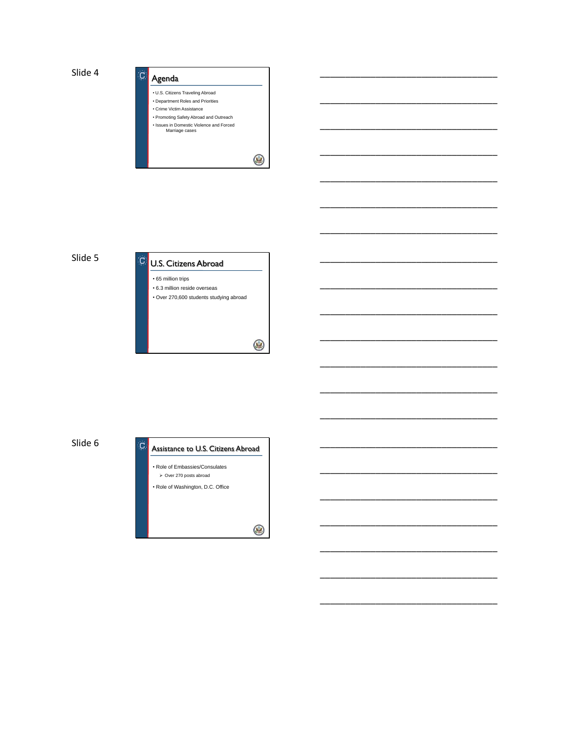

\_\_\_\_\_\_\_\_\_\_\_\_\_\_\_\_\_\_\_\_\_\_\_\_\_\_\_\_\_\_\_\_\_\_\_

\_\_\_\_\_\_\_\_\_\_\_\_\_\_\_\_\_\_\_\_\_\_\_\_\_\_\_\_\_\_\_\_\_\_\_

\_\_\_\_\_\_\_\_\_\_\_\_\_\_\_\_\_\_\_\_\_\_\_\_\_\_\_\_\_\_\_\_\_\_\_

\_\_\_\_\_\_\_\_\_\_\_\_\_\_\_\_\_\_\_\_\_\_\_\_\_\_\_\_\_\_\_\_\_\_\_

\_\_\_\_\_\_\_\_\_\_\_\_\_\_\_\_\_\_\_\_\_\_\_\_\_\_\_\_\_\_\_\_\_\_\_

\_\_\_\_\_\_\_\_\_\_\_\_\_\_\_\_\_\_\_\_\_\_\_\_\_\_\_\_\_\_\_\_\_\_\_

\_\_\_\_\_\_\_\_\_\_\_\_\_\_\_\_\_\_\_\_\_\_\_\_\_\_\_\_\_\_\_\_\_\_\_

\_\_\_\_\_\_\_\_\_\_\_\_\_\_\_\_\_\_\_\_\_\_\_\_\_\_\_\_\_\_\_\_\_\_\_

\_\_\_\_\_\_\_\_\_\_\_\_\_\_\_\_\_\_\_\_\_\_\_\_\_\_\_\_\_\_\_\_\_\_\_

\_\_\_\_\_\_\_\_\_\_\_\_\_\_\_\_\_\_\_\_\_\_\_\_\_\_\_\_\_\_\_\_\_\_\_

\_\_\_\_\_\_\_\_\_\_\_\_\_\_\_\_\_\_\_\_\_\_\_\_\_\_\_\_\_\_\_\_\_\_\_

\_\_\_\_\_\_\_\_\_\_\_\_\_\_\_\_\_\_\_\_\_\_\_\_\_\_\_\_\_\_\_\_\_\_\_

\_\_\_\_\_\_\_\_\_\_\_\_\_\_\_\_\_\_\_\_\_\_\_\_\_\_\_\_\_\_\_\_\_\_\_

\_\_\_\_\_\_\_\_\_\_\_\_\_\_\_\_\_\_\_\_\_\_\_\_\_\_\_\_\_\_\_\_\_\_\_

\_\_\_\_\_\_\_\_\_\_\_\_\_\_\_\_\_\_\_\_\_\_\_\_\_\_\_\_\_\_\_\_\_\_\_

\_\_\_\_\_\_\_\_\_\_\_\_\_\_\_\_\_\_\_\_\_\_\_\_\_\_\_\_\_\_\_\_\_\_\_

\_\_\_\_\_\_\_\_\_\_\_\_\_\_\_\_\_\_\_\_\_\_\_\_\_\_\_\_\_\_\_\_\_\_\_

\_\_\_\_\_\_\_\_\_\_\_\_\_\_\_\_\_\_\_\_\_\_\_\_\_\_\_\_\_\_\_\_\_\_\_

\_\_\_\_\_\_\_\_\_\_\_\_\_\_\_\_\_\_\_\_\_\_\_\_\_\_\_\_\_\_\_\_\_\_\_

\_\_\_\_\_\_\_\_\_\_\_\_\_\_\_\_\_\_\_\_\_\_\_\_\_\_\_\_\_\_\_\_\_\_\_

\_\_\_\_\_\_\_\_\_\_\_\_\_\_\_\_\_\_\_\_\_\_\_\_\_\_\_\_\_\_\_\_\_\_\_

Slide 5



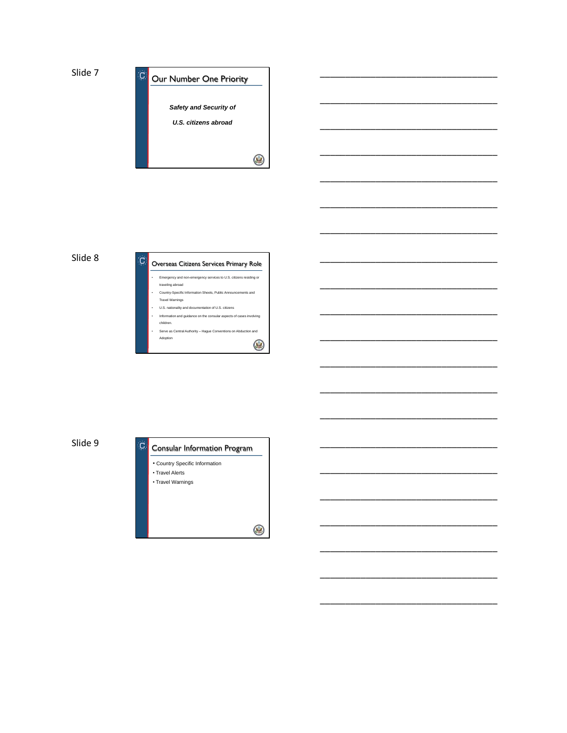

\_\_\_\_\_\_\_\_\_\_\_\_\_\_\_\_\_\_\_\_\_\_\_\_\_\_\_\_\_\_\_\_\_\_\_

\_\_\_\_\_\_\_\_\_\_\_\_\_\_\_\_\_\_\_\_\_\_\_\_\_\_\_\_\_\_\_\_\_\_\_

\_\_\_\_\_\_\_\_\_\_\_\_\_\_\_\_\_\_\_\_\_\_\_\_\_\_\_\_\_\_\_\_\_\_\_

\_\_\_\_\_\_\_\_\_\_\_\_\_\_\_\_\_\_\_\_\_\_\_\_\_\_\_\_\_\_\_\_\_\_\_

\_\_\_\_\_\_\_\_\_\_\_\_\_\_\_\_\_\_\_\_\_\_\_\_\_\_\_\_\_\_\_\_\_\_\_

\_\_\_\_\_\_\_\_\_\_\_\_\_\_\_\_\_\_\_\_\_\_\_\_\_\_\_\_\_\_\_\_\_\_\_

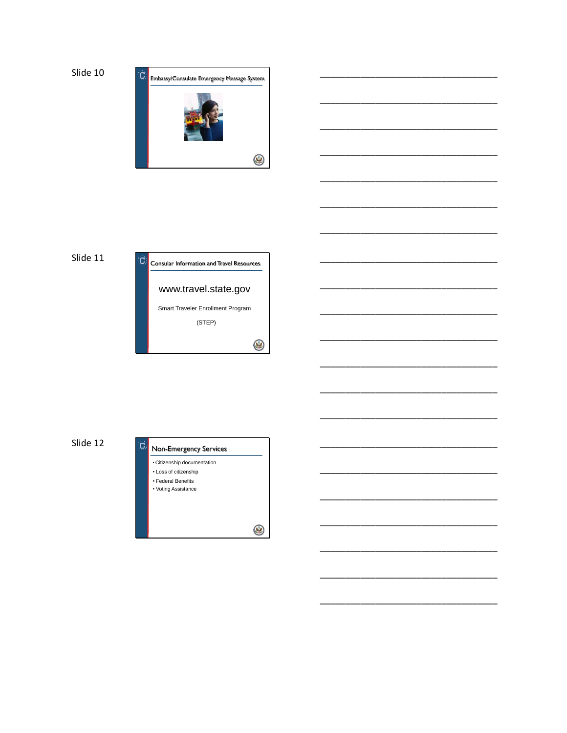

## Slide 11



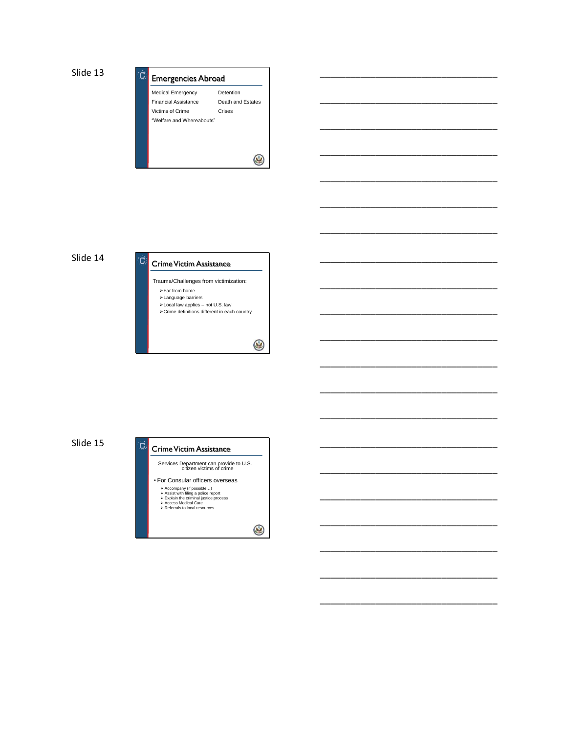



 $\circledast$ 

\_\_\_\_\_\_\_\_\_\_\_\_\_\_\_\_\_\_\_\_\_\_\_\_\_\_\_\_\_\_\_\_\_\_\_

\_\_\_\_\_\_\_\_\_\_\_\_\_\_\_\_\_\_\_\_\_\_\_\_\_\_\_\_\_\_\_\_\_\_\_

\_\_\_\_\_\_\_\_\_\_\_\_\_\_\_\_\_\_\_\_\_\_\_\_\_\_\_\_\_\_\_\_\_\_\_

\_\_\_\_\_\_\_\_\_\_\_\_\_\_\_\_\_\_\_\_\_\_\_\_\_\_\_\_\_\_\_\_\_\_\_

\_\_\_\_\_\_\_\_\_\_\_\_\_\_\_\_\_\_\_\_\_\_\_\_\_\_\_\_\_\_\_\_\_\_\_

\_\_\_\_\_\_\_\_\_\_\_\_\_\_\_\_\_\_\_\_\_\_\_\_\_\_\_\_\_\_\_\_\_\_\_

\_\_\_\_\_\_\_\_\_\_\_\_\_\_\_\_\_\_\_\_\_\_\_\_\_\_\_\_\_\_\_\_\_\_\_

\_\_\_\_\_\_\_\_\_\_\_\_\_\_\_\_\_\_\_\_\_\_\_\_\_\_\_\_\_\_\_\_\_\_\_

\_\_\_\_\_\_\_\_\_\_\_\_\_\_\_\_\_\_\_\_\_\_\_\_\_\_\_\_\_\_\_\_\_\_\_

\_\_\_\_\_\_\_\_\_\_\_\_\_\_\_\_\_\_\_\_\_\_\_\_\_\_\_\_\_\_\_\_\_\_\_

\_\_\_\_\_\_\_\_\_\_\_\_\_\_\_\_\_\_\_\_\_\_\_\_\_\_\_\_\_\_\_\_\_\_\_

\_\_\_\_\_\_\_\_\_\_\_\_\_\_\_\_\_\_\_\_\_\_\_\_\_\_\_\_\_\_\_\_\_\_\_

\_\_\_\_\_\_\_\_\_\_\_\_\_\_\_\_\_\_\_\_\_\_\_\_\_\_\_\_\_\_\_\_\_\_\_

\_\_\_\_\_\_\_\_\_\_\_\_\_\_\_\_\_\_\_\_\_\_\_\_\_\_\_\_\_\_\_\_\_\_\_

\_\_\_\_\_\_\_\_\_\_\_\_\_\_\_\_\_\_\_\_\_\_\_\_\_\_\_\_\_\_\_\_\_\_\_

\_\_\_\_\_\_\_\_\_\_\_\_\_\_\_\_\_\_\_\_\_\_\_\_\_\_\_\_\_\_\_\_\_\_\_

\_\_\_\_\_\_\_\_\_\_\_\_\_\_\_\_\_\_\_\_\_\_\_\_\_\_\_\_\_\_\_\_\_\_\_

\_\_\_\_\_\_\_\_\_\_\_\_\_\_\_\_\_\_\_\_\_\_\_\_\_\_\_\_\_\_\_\_\_\_\_

\_\_\_\_\_\_\_\_\_\_\_\_\_\_\_\_\_\_\_\_\_\_\_\_\_\_\_\_\_\_\_\_\_\_\_

\_\_\_\_\_\_\_\_\_\_\_\_\_\_\_\_\_\_\_\_\_\_\_\_\_\_\_\_\_\_\_\_\_\_\_

\_\_\_\_\_\_\_\_\_\_\_\_\_\_\_\_\_\_\_\_\_\_\_\_\_\_\_\_\_\_\_\_\_\_\_

Slide 14



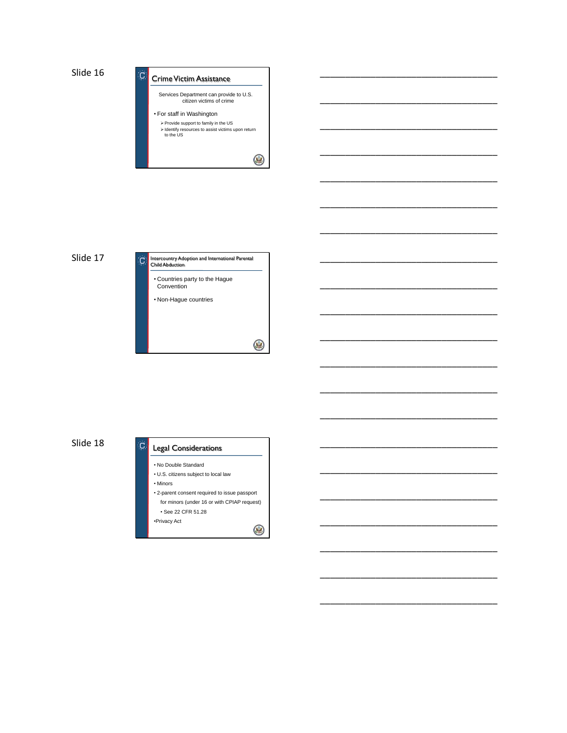



\_\_\_\_\_\_\_\_\_\_\_\_\_\_\_\_\_\_\_\_\_\_\_\_\_\_\_\_\_\_\_\_\_\_\_

\_\_\_\_\_\_\_\_\_\_\_\_\_\_\_\_\_\_\_\_\_\_\_\_\_\_\_\_\_\_\_\_\_\_\_

\_\_\_\_\_\_\_\_\_\_\_\_\_\_\_\_\_\_\_\_\_\_\_\_\_\_\_\_\_\_\_\_\_\_\_

\_\_\_\_\_\_\_\_\_\_\_\_\_\_\_\_\_\_\_\_\_\_\_\_\_\_\_\_\_\_\_\_\_\_\_

\_\_\_\_\_\_\_\_\_\_\_\_\_\_\_\_\_\_\_\_\_\_\_\_\_\_\_\_\_\_\_\_\_\_\_

\_\_\_\_\_\_\_\_\_\_\_\_\_\_\_\_\_\_\_\_\_\_\_\_\_\_\_\_\_\_\_\_\_\_\_

\_\_\_\_\_\_\_\_\_\_\_\_\_\_\_\_\_\_\_\_\_\_\_\_\_\_\_\_\_\_\_\_\_\_\_

\_\_\_\_\_\_\_\_\_\_\_\_\_\_\_\_\_\_\_\_\_\_\_\_\_\_\_\_\_\_\_\_\_\_\_

\_\_\_\_\_\_\_\_\_\_\_\_\_\_\_\_\_\_\_\_\_\_\_\_\_\_\_\_\_\_\_\_\_\_\_

\_\_\_\_\_\_\_\_\_\_\_\_\_\_\_\_\_\_\_\_\_\_\_\_\_\_\_\_\_\_\_\_\_\_\_

\_\_\_\_\_\_\_\_\_\_\_\_\_\_\_\_\_\_\_\_\_\_\_\_\_\_\_\_\_\_\_\_\_\_\_

\_\_\_\_\_\_\_\_\_\_\_\_\_\_\_\_\_\_\_\_\_\_\_\_\_\_\_\_\_\_\_\_\_\_\_

\_\_\_\_\_\_\_\_\_\_\_\_\_\_\_\_\_\_\_\_\_\_\_\_\_\_\_\_\_\_\_\_\_\_\_

\_\_\_\_\_\_\_\_\_\_\_\_\_\_\_\_\_\_\_\_\_\_\_\_\_\_\_\_\_\_\_\_\_\_\_

\_\_\_\_\_\_\_\_\_\_\_\_\_\_\_\_\_\_\_\_\_\_\_\_\_\_\_\_\_\_\_\_\_\_\_

\_\_\_\_\_\_\_\_\_\_\_\_\_\_\_\_\_\_\_\_\_\_\_\_\_\_\_\_\_\_\_\_\_\_\_

\_\_\_\_\_\_\_\_\_\_\_\_\_\_\_\_\_\_\_\_\_\_\_\_\_\_\_\_\_\_\_\_\_\_\_

\_\_\_\_\_\_\_\_\_\_\_\_\_\_\_\_\_\_\_\_\_\_\_\_\_\_\_\_\_\_\_\_\_\_\_

\_\_\_\_\_\_\_\_\_\_\_\_\_\_\_\_\_\_\_\_\_\_\_\_\_\_\_\_\_\_\_\_\_\_\_

\_\_\_\_\_\_\_\_\_\_\_\_\_\_\_\_\_\_\_\_\_\_\_\_\_\_\_\_\_\_\_\_\_\_\_

\_\_\_\_\_\_\_\_\_\_\_\_\_\_\_\_\_\_\_\_\_\_\_\_\_\_\_\_\_\_\_\_\_\_\_



## Slide 18

#### ١Õ. Legal Considerations

- No Double Standard
- U.S. citizens subject to local law • Minors
- 2-parent consent required to issue passport for minors (under 16 or with CPIAP request) • See 22 CFR 51.28 •Privacy Act

 $\circledast$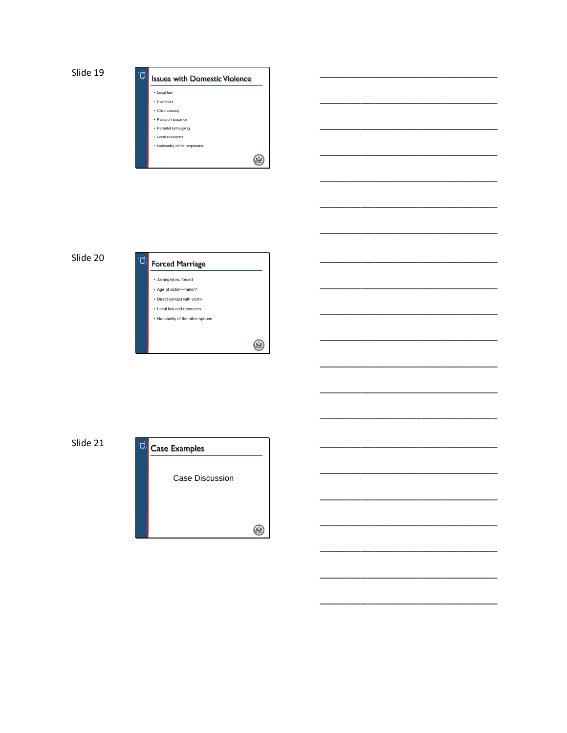







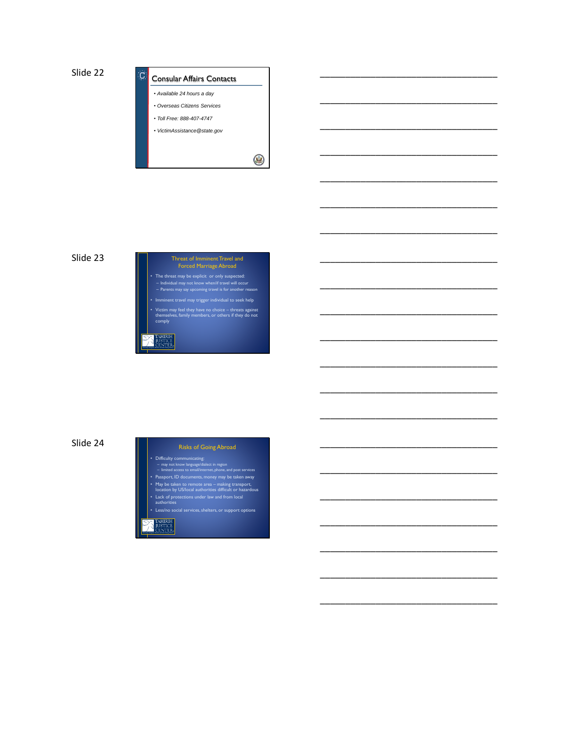



\_\_\_\_\_\_\_\_\_\_\_\_\_\_\_\_\_\_\_\_\_\_\_\_\_\_\_\_\_\_\_\_\_\_\_

\_\_\_\_\_\_\_\_\_\_\_\_\_\_\_\_\_\_\_\_\_\_\_\_\_\_\_\_\_\_\_\_\_\_\_

\_\_\_\_\_\_\_\_\_\_\_\_\_\_\_\_\_\_\_\_\_\_\_\_\_\_\_\_\_\_\_\_\_\_\_

\_\_\_\_\_\_\_\_\_\_\_\_\_\_\_\_\_\_\_\_\_\_\_\_\_\_\_\_\_\_\_\_\_\_\_

\_\_\_\_\_\_\_\_\_\_\_\_\_\_\_\_\_\_\_\_\_\_\_\_\_\_\_\_\_\_\_\_\_\_\_

\_\_\_\_\_\_\_\_\_\_\_\_\_\_\_\_\_\_\_\_\_\_\_\_\_\_\_\_\_\_\_\_\_\_\_

\_\_\_\_\_\_\_\_\_\_\_\_\_\_\_\_\_\_\_\_\_\_\_\_\_\_\_\_\_\_\_\_\_\_\_

\_\_\_\_\_\_\_\_\_\_\_\_\_\_\_\_\_\_\_\_\_\_\_\_\_\_\_\_\_\_\_\_\_\_\_

\_\_\_\_\_\_\_\_\_\_\_\_\_\_\_\_\_\_\_\_\_\_\_\_\_\_\_\_\_\_\_\_\_\_\_

\_\_\_\_\_\_\_\_\_\_\_\_\_\_\_\_\_\_\_\_\_\_\_\_\_\_\_\_\_\_\_\_\_\_\_

\_\_\_\_\_\_\_\_\_\_\_\_\_\_\_\_\_\_\_\_\_\_\_\_\_\_\_\_\_\_\_\_\_\_\_

\_\_\_\_\_\_\_\_\_\_\_\_\_\_\_\_\_\_\_\_\_\_\_\_\_\_\_\_\_\_\_\_\_\_\_

\_\_\_\_\_\_\_\_\_\_\_\_\_\_\_\_\_\_\_\_\_\_\_\_\_\_\_\_\_\_\_\_\_\_\_

\_\_\_\_\_\_\_\_\_\_\_\_\_\_\_\_\_\_\_\_\_\_\_\_\_\_\_\_\_\_\_\_\_\_\_

\_\_\_\_\_\_\_\_\_\_\_\_\_\_\_\_\_\_\_\_\_\_\_\_\_\_\_\_\_\_\_\_\_\_\_

\_\_\_\_\_\_\_\_\_\_\_\_\_\_\_\_\_\_\_\_\_\_\_\_\_\_\_\_\_\_\_\_\_\_\_

\_\_\_\_\_\_\_\_\_\_\_\_\_\_\_\_\_\_\_\_\_\_\_\_\_\_\_\_\_\_\_\_\_\_\_

\_\_\_\_\_\_\_\_\_\_\_\_\_\_\_\_\_\_\_\_\_\_\_\_\_\_\_\_\_\_\_\_\_\_\_

\_\_\_\_\_\_\_\_\_\_\_\_\_\_\_\_\_\_\_\_\_\_\_\_\_\_\_\_\_\_\_\_\_\_\_

\_\_\_\_\_\_\_\_\_\_\_\_\_\_\_\_\_\_\_\_\_\_\_\_\_\_\_\_\_\_\_\_\_\_\_

\_\_\_\_\_\_\_\_\_\_\_\_\_\_\_\_\_\_\_\_\_\_\_\_\_\_\_\_\_\_\_\_\_\_\_

Slide 23

# Threat of Imminent Travel and Forced Marriage Abroad • The threat may be explicit or only suspected: – Individual may not know when/if travel will occur – Parents may say upcoming travel is for another reason • Victim may feel they have no choice – threats against themselves, family members, or others if they do not comply

Slide 24

#### Risks of Going Abroad

- Difficulty communicating: may not know language/dialect in region limited access to email/internet, phone, and post services Passport, ID documents, money may be taken away
- May be taken to remote area making transport, location by US/local authorities difficult or hazardous
- Lack of protections under law and from local authorities
- Less/no social services, shelters, or support options

## **STICI**